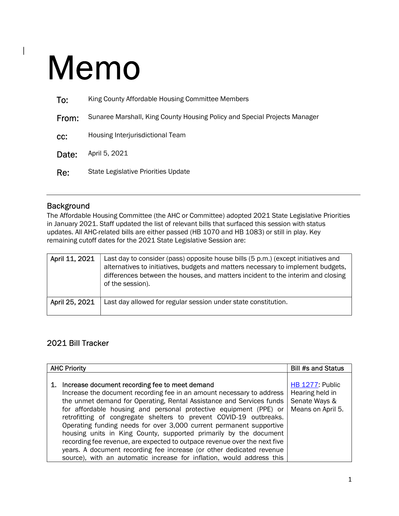## Memo

 $\begin{array}{c} \rule{0pt}{2ex} \rule{0pt}{2ex} \rule{0pt}{2ex} \rule{0pt}{2ex} \rule{0pt}{2ex} \rule{0pt}{2ex} \rule{0pt}{2ex} \rule{0pt}{2ex} \rule{0pt}{2ex} \rule{0pt}{2ex} \rule{0pt}{2ex} \rule{0pt}{2ex} \rule{0pt}{2ex} \rule{0pt}{2ex} \rule{0pt}{2ex} \rule{0pt}{2ex} \rule{0pt}{2ex} \rule{0pt}{2ex} \rule{0pt}{2ex} \rule{0pt}{2ex} \rule{0pt}{2ex} \rule{0pt}{2ex} \rule{0pt}{2ex} \rule{0pt}{$ 

| To:   | King County Affordable Housing Committee Members                          |
|-------|---------------------------------------------------------------------------|
| From: | Sunaree Marshall, King County Housing Policy and Special Projects Manager |
| CC:   | Housing Interjurisdictional Team                                          |
| Date: | April 5, 2021                                                             |
| Re:   | State Legislative Priorities Update                                       |
|       |                                                                           |

## Background

The Affordable Housing Committee (the AHC or Committee) adopted 2021 State Legislative Priorities in January 2021. Staff updated the list of relevant bills that surfaced this session with status updates. All AHC-related bills are either passed (HB 1070 and HB 1083) or still in play. Key remaining cutoff dates for the 2021 State Legislative Session are:

| April 11, 2021 | Last day to consider (pass) opposite house bills (5 p.m.) (except initiatives and<br>alternatives to initiatives, budgets and matters necessary to implement budgets,<br>differences between the houses, and matters incident to the interim and closing<br>of the session). |
|----------------|------------------------------------------------------------------------------------------------------------------------------------------------------------------------------------------------------------------------------------------------------------------------------|
| April 25, 2021 | Last day allowed for regular session under state constitution.                                                                                                                                                                                                               |

## 2021 Bill Tracker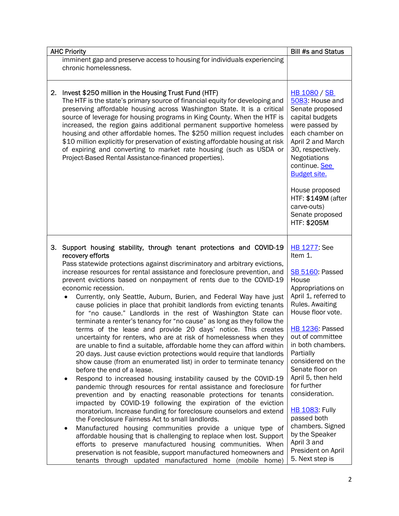|    | <b>AHC Priority</b>                                                                                                                                                                                                                                                                                                                                                                                                                                                                                                                                                                                                                                                                                                                                                                                                                                                                                                                                                                                                                                                                                                                                                                                                                                                                                                                                                                                                                                                                                                                                                                                                                                                                                                                                                                              | <b>Bill #s and Status</b>                                                                                                                                                                                                                                                                                                                                                                                                                                           |
|----|--------------------------------------------------------------------------------------------------------------------------------------------------------------------------------------------------------------------------------------------------------------------------------------------------------------------------------------------------------------------------------------------------------------------------------------------------------------------------------------------------------------------------------------------------------------------------------------------------------------------------------------------------------------------------------------------------------------------------------------------------------------------------------------------------------------------------------------------------------------------------------------------------------------------------------------------------------------------------------------------------------------------------------------------------------------------------------------------------------------------------------------------------------------------------------------------------------------------------------------------------------------------------------------------------------------------------------------------------------------------------------------------------------------------------------------------------------------------------------------------------------------------------------------------------------------------------------------------------------------------------------------------------------------------------------------------------------------------------------------------------------------------------------------------------|---------------------------------------------------------------------------------------------------------------------------------------------------------------------------------------------------------------------------------------------------------------------------------------------------------------------------------------------------------------------------------------------------------------------------------------------------------------------|
|    | imminent gap and preserve access to housing for individuals experiencing<br>chronic homelessness.                                                                                                                                                                                                                                                                                                                                                                                                                                                                                                                                                                                                                                                                                                                                                                                                                                                                                                                                                                                                                                                                                                                                                                                                                                                                                                                                                                                                                                                                                                                                                                                                                                                                                                |                                                                                                                                                                                                                                                                                                                                                                                                                                                                     |
| 2. | Invest \$250 million in the Housing Trust Fund (HTF)<br>The HTF is the state's primary source of financial equity for developing and<br>preserving affordable housing across Washington State. It is a critical<br>source of leverage for housing programs in King County. When the HTF is<br>increased, the region gains additional permanent supportive homeless<br>housing and other affordable homes. The \$250 million request includes<br>\$10 million explicitly for preservation of existing affordable housing at risk<br>of expiring and converting to market rate housing (such as USDA or<br>Project-Based Rental Assistance-financed properties).                                                                                                                                                                                                                                                                                                                                                                                                                                                                                                                                                                                                                                                                                                                                                                                                                                                                                                                                                                                                                                                                                                                                   | <b>HB 1080 / SB</b><br>5083: House and<br>Senate proposed<br>capital budgets<br>were passed by<br>each chamber on<br>April 2 and March<br>30, respectively.<br><b>Negotiations</b><br>continue. See<br><b>Budget site.</b><br>House proposed<br>HTF: \$149M (after<br>carve-outs)<br>Senate proposed<br>HTF: \$205M                                                                                                                                                 |
| 3. | Support housing stability, through tenant protections and COVID-19<br>recovery efforts<br>Pass statewide protections against discriminatory and arbitrary evictions,<br>increase resources for rental assistance and foreclosure prevention, and<br>prevent evictions based on nonpayment of rents due to the COVID-19<br>economic recession.<br>Currently, only Seattle, Auburn, Burien, and Federal Way have just<br>$\bullet$<br>cause policies in place that prohibit landlords from evicting tenants<br>for "no cause." Landlords in the rest of Washington State can<br>terminate a renter's tenancy for "no cause" as long as they follow the<br>terms of the lease and provide 20 days' notice. This creates<br>uncertainty for renters, who are at risk of homelessness when they<br>are unable to find a suitable, affordable home they can afford within<br>20 days. Just cause eviction protections would require that landlords<br>show cause (from an enumerated list) in order to terminate tenancy<br>before the end of a lease.<br>Respond to increased housing instability caused by the COVID-19<br>٠<br>pandemic through resources for rental assistance and foreclosure<br>prevention and by enacting reasonable protections for tenants<br>impacted by COVID-19 following the expiration of the eviction<br>moratorium. Increase funding for foreclosure counselors and extend<br>the Foreclosure Fairness Act to small landlords.<br>Manufactured housing communities provide a unique type of<br>٠<br>affordable housing that is challenging to replace when lost. Support<br>efforts to preserve manufactured housing communities. When<br>preservation is not feasible, support manufactured homeowners and<br>tenants through updated manufactured home (mobile home) | <b>HB 1277</b> See<br>Item 1.<br>SB 5160: Passed<br>House<br>Appropriations on<br>April 1, referred to<br>Rules. Awaiting<br>House floor vote.<br><b>HB 1236: Passed</b><br>out of committee<br>in both chambers.<br>Partially<br>considered on the<br>Senate floor on<br>April 5, then held<br>for further<br>consideration.<br><b>HB 1083: Fully</b><br>passed both<br>chambers. Signed<br>by the Speaker<br>April 3 and<br>President on April<br>5. Next step is |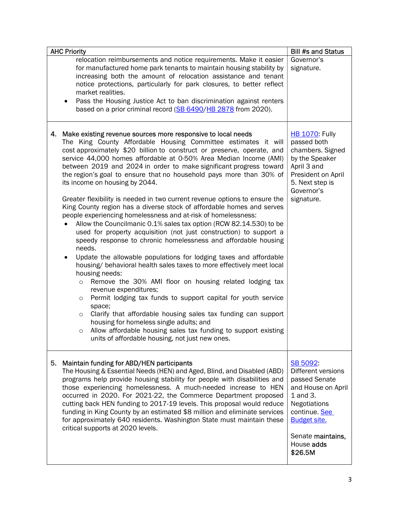| <b>AHC Priority</b>                                                                                                                                                                                                                                                                                                                                                                                                                                                                                                                                                                                                                                                                                                                                                                                                                                                                                                                                                                                                                                                                                                                                                                                                                                                                                                                                                                                                                                                                                                              | <b>Bill #s and Status</b>                                                                                                                                                                      |
|----------------------------------------------------------------------------------------------------------------------------------------------------------------------------------------------------------------------------------------------------------------------------------------------------------------------------------------------------------------------------------------------------------------------------------------------------------------------------------------------------------------------------------------------------------------------------------------------------------------------------------------------------------------------------------------------------------------------------------------------------------------------------------------------------------------------------------------------------------------------------------------------------------------------------------------------------------------------------------------------------------------------------------------------------------------------------------------------------------------------------------------------------------------------------------------------------------------------------------------------------------------------------------------------------------------------------------------------------------------------------------------------------------------------------------------------------------------------------------------------------------------------------------|------------------------------------------------------------------------------------------------------------------------------------------------------------------------------------------------|
| relocation reimbursements and notice requirements. Make it easier<br>for manufactured home park tenants to maintain housing stability by<br>increasing both the amount of relocation assistance and tenant<br>notice protections, particularly for park closures, to better reflect<br>market realities.<br>Pass the Housing Justice Act to ban discrimination against renters<br>٠<br>based on a prior criminal record (SB 6490/HB 2878 from 2020).                                                                                                                                                                                                                                                                                                                                                                                                                                                                                                                                                                                                                                                                                                                                                                                                                                                                                                                                                                                                                                                                             | Governor's<br>signature.                                                                                                                                                                       |
| 4. Make existing revenue sources more responsive to local needs<br>The King County Affordable Housing Committee estimates it will<br>cost approximately \$20 billion to construct or preserve, operate, and<br>service 44,000 homes affordable at 0-50% Area Median Income (AMI)<br>between 2019 and 2024 in order to make significant progress toward<br>the region's goal to ensure that no household pays more than 30% of<br>its income on housing by 2044.<br>Greater flexibility is needed in two current revenue options to ensure the<br>King County region has a diverse stock of affordable homes and serves<br>people experiencing homelessness and at-risk of homelessness:<br>Allow the Councilmanic 0.1% sales tax option (RCW 82.14.530) to be<br>used for property acquisition (not just construction) to support a<br>speedy response to chronic homelessness and affordable housing<br>needs.<br>Update the allowable populations for lodging taxes and affordable<br>٠<br>housing/ behavioral health sales taxes to more effectively meet local<br>housing needs:<br>Remove the 30% AMI floor on housing related lodging tax<br>$\circ$<br>revenue expenditures;<br>Permit lodging tax funds to support capital for youth service<br>$\circ$<br>space;<br>Clarify that affordable housing sales tax funding can support<br>$\circ$<br>housing for homeless single adults; and<br>Allow affordable housing sales tax funding to support existing<br>$\circ$<br>units of affordable housing, not just new ones. | <b>HB 1070: Fully</b><br>passed both<br>chambers. Signed<br>by the Speaker<br>April 3 and<br>President on April<br>5. Next step is<br>Governor's<br>signature.                                 |
| Maintain funding for ABD/HEN participants<br>5.<br>The Housing & Essential Needs (HEN) and Aged, Blind, and Disabled (ABD)<br>programs help provide housing stability for people with disabilities and<br>those experiencing homelessness. A much-needed increase to HEN<br>occurred in 2020. For 2021-22, the Commerce Department proposed<br>cutting back HEN funding to 2017-19 levels. This proposal would reduce<br>funding in King County by an estimated \$8 million and eliminate services<br>for approximately 640 residents. Washington State must maintain these<br>critical supports at 2020 levels.                                                                                                                                                                                                                                                                                                                                                                                                                                                                                                                                                                                                                                                                                                                                                                                                                                                                                                                 | SB 5092:<br>Different versions<br>passed Senate<br>and House on April<br>1 and 3.<br><b>Negotiations</b><br>continue. See<br><b>Budget site.</b><br>Senate maintains,<br>House adds<br>\$26.5M |